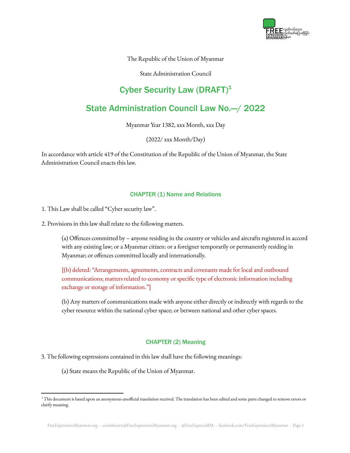

The Republic of the Union of Myanmar

State Administration Council

# Cyber Security Law  $(DRAFT)^1$

# State Administration Council Law No.—/ 2022

Myanmar Year 1382, xxx Month, xxx Day

(2022/ xxx Month/Day)

In accordance with article 419 of the Constitution of the Republic of the Union of Myanmar, the State Administration Council enacts this law.

## CHAPTER (1) Name and Relations

1. This Law shall be called "Cyber security law".

2. Provisions in this law shall relate to the following matters.

(a) Offences committed by – anyone residing in the country or vehicles and aircrafts registered in accord with any existing law; or a Myanmar citizen: or a foreigner temporarily or permanently residing in Myanmar; or offences committed locally and internationally.

[(b) deleted: "Arrangements, agreements, contracts and covenants made for local and outbound communications; matters related to economy or specific type of electronic information including exchange or storage of information."]

(b) Any matters of communications made with anyone either directly or indirectly with regards to the cyber resource within the national cyber space; or between national and other cyber spaces.

## CHAPTER (2) Meaning

3. The following expressions contained in this law shall have the following meanings:

(a) State means the Republic of the Union of Myanmar.

<sup>&</sup>lt;sup>1</sup> This document is based upon an anonymous unofficial translation received. The translation has been edited and some parts changed to remove errors or clarify meaning.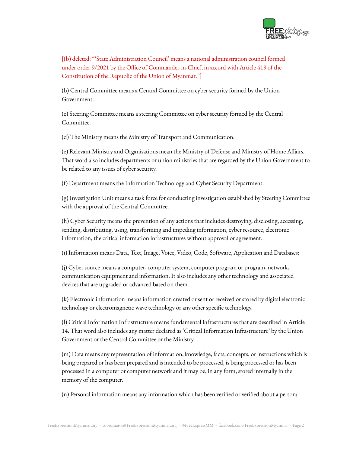

[(b) deleted: "'State Administration Council' means a national administration council formed under order 9/2021 by the Office of Commander-in-Chief, in accord with Article 419 of the Constitution of the Republic of the Union of Myanmar."]

(b) Central Committee means a Central Committee on cyber security formed by the Union Government.

(c) Steering Committee means a steering Committee on cyber security formed by the Central Committee.

(d) The Ministry means the Ministry of Transport and Communication.

(e) Relevant Ministry and Organisations mean the Ministry of Defense and Ministry of Home Affairs. That word also includes departments or union ministries that are regarded by the Union Government to be related to any issues of cyber security.

(f) Department means the Information Technology and Cyber Security Department.

(g) Investigation Unit means a task force for conducting investigation established by Steering Committee with the approval of the Central Committee.

(h) Cyber Security means the prevention of any actions that includes destroying, disclosing, accessing, sending, distributing, using, transforming and impeding information, cyber resource, electronic information, the critical information infrastructures without approval or agreement.

(i) Information means Data, Text, Image, Voice, Video, Code, Software, Application and Databases;

(j) Cyber source means a computer, computer system, computer program or program, network, communication equipment and information. It also includes any other technology and associated devices that are upgraded or advanced based on them.

(k) Electronic information means information created or sent or received or stored by digital electronic technology or electromagnetic wave technology or any other specific technology.

(l) Critical Information Infrastructure means fundamental infrastructures that are described in Article 14. That word also includes any matter declared as 'Critical Information Infrastructure' by the Union Government or the Central Committee or the Ministry.

(m) Data means any representation of information, knowledge, facts, concepts, or instructions which is being prepared or has been prepared and is intended to be processed, is being processed or has been processed in a computer or computer network and it may be, in any form, stored internally in the memory of the computer.

(n) Personal information means any information which has been verified or verified about a person;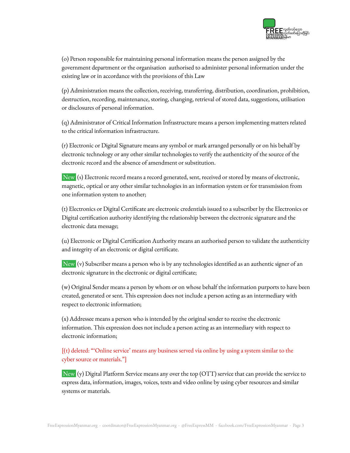

(o) Person responsible for maintaining personal information means the person assigned by the government department or the organisation authorised to administer personal information under the existing law or in accordance with the provisions of this Law

(p) Administration means the collection, receiving, transferring, distribution, coordination, prohibition, destruction, recording, maintenance, storing, changing, retrieval of stored data, suggestions, utilisation or disclosures of personal information.

(q) Administrator of Critical Information Infrastructure means a person implementing matters related to the critical information infrastructure.

(r) Electronic or Digital Signature means any symbol or mark arranged personally or on his behalf by electronic technology or any other similar technologies to verify the authenticity of the source of the electronic record and the absence of amendment or substitution.

New (s) Electronic record means a record generated, sent, received or stored by means of electronic, magnetic, optical or any other similar technologies in an information system or for transmission from one information system to another;

(t) Electronics or Digital Certificate are electronic credentials issued to a subscriber by the Electronics or Digital certification authority identifying the relationship between the electronic signature and the electronic data message;

(u) Electronic or Digital Certification Authority means an authorised person to validate the authenticity and integrity of an electronic or digital certificate.

New (v) Subscriber means a person who is by any technologies identified as an authentic signer of an electronic signature in the electronic or digital certificate;

(w) Original Sender means a person by whom or on whose behalf the information purports to have been created, generated or sent. This expression does not include a person acting as an intermediary with respect to electronic information;

(x) Addressee means a person who is intended by the original sender to receive the electronic information. This expression does not include a person acting as an intermediary with respect to electronic information;

[(t) deleted: "'Online service' means any business served via online by using a system similar to the cyber source or materials."]

New (y) Digital Platform Service means any over the top (OTT) service that can provide the service to express data, information, images, voices, texts and video online by using cyber resources and similar systems or materials.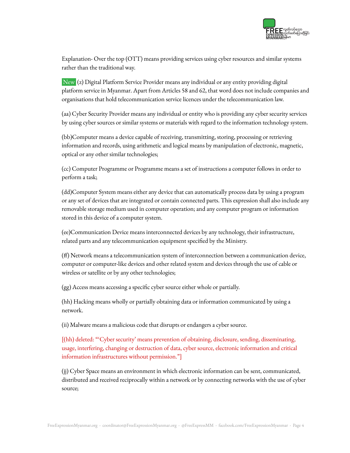

Explanation- Over the top (OTT) means providing services using cyber resources and similar systems rather than the traditional way.

New (z) Digital Platform Service Provider means any individual or any entity providing digital platform service in Myanmar. Apart from Articles 58 and 62, that word does not include companies and organisations that hold telecommunication service licences under the telecommunication law.

(aa) Cyber Security Provider means any individual or entity who is providing any cyber security services by using cyber sources or similar systems or materials with regard to the information technology system.

(bb)Computer means a device capable of receiving, transmitting, storing, processing or retrieving information and records, using arithmetic and logical means by manipulation of electronic, magnetic, optical or any other similar technologies;

(cc) Computer Programme or Programme means a set of instructions a computer follows in order to perform a task;

(dd)Computer System means either any device that can automatically process data by using a program or any set of devices that are integrated or contain connected parts. This expression shall also include any removable storage medium used in computer operation; and any computer program or information stored in this device of a computer system.

(ee)Communication Device means interconnected devices by any technology, their infrastructure, related parts and any telecommunication equipment specified by the Ministry.

(ff) Network means a telecommunication system of interconnection between a communication device, computer or computer-like devices and other related system and devices through the use of cable or wireless or satellite or by any other technologies;

(gg) Access means accessing a specific cyber source either whole or partially.

(hh) Hacking means wholly or partially obtaining data or information communicated by using a network.

(ii) Malware means a malicious code that disrupts or endangers a cyber source.

[(hh) deleted: "'Cyber security' means prevention of obtaining, disclosure, sending, disseminating, usage, interfering, changing or destruction of data, cyber source, electronic information and critical information infrastructures without permission."]

(jj) Cyber Space means an environment in which electronic information can be sent, communicated, distributed and received reciprocally within a network or by connecting networks with the use of cyber source;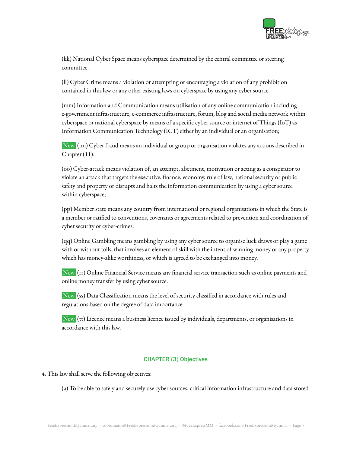

(kk) National Cyber Space means cyberspace determined by the central committee or steering committee.

(ll) Cyber Crime means a violation or attempting or encouraging a violation of any prohibition contained in this law or any other existing laws on cyberspace by using any cyber source.

(mm) Information and Communication means utilisation of any online communication including e-government infrastructure, e-commerce infrastructure, forum, blog and social media network within cyberspace or national cyberspace by means of a specific cyber source or internet of Things (IoT) as Information Communication Technology (ICT) either by an individual or an organisation;

New (nn) Cyber fraud means an individual or group or organisation violates any actions described in Chapter (11).

(oo) Cyber-attack means violation of, an attempt, abetment, motivation or acting as a conspirator to violate an attack that targets the executive, finance, economy, rule of law, national security or public safety and property or disrupts and halts the information communication by using a cyber source within cyberspace;

(pp) Member state means any country from international or regional organisations in which the State is a member or ratified to conventions, covenants or agreements related to prevention and coordination of cyber security or cyber-crimes.

(qq) Online Gambling means gambling by using any cyber source to organise luck draws or play a game with or without tolls, that involves an element of skill with the intent of winning money or any property which has money-alike worthiness, or which is agreed to be exchanged into money.

New (rr) Online Financial Service means any financial service transaction such as online payments and online money transfer by using cyber source.

New (ss) Data Classification means the level of security classified in accordance with rules and regulations based on the degree of data importance.

New (tt) Licence means a business licence issued by individuals, departments, or organisations in accordance with this law.

# CHAPTER (3) Objectives

4. This law shall serve the following objectives:

(a) To be able to safely and securely use cyber sources, critical information infrastructure and data stored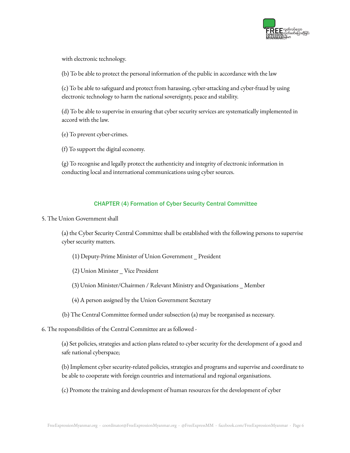

with electronic technology.

(b) To be able to protect the personal information of the public in accordance with the law

(c) To be able to safeguard and protect from harassing, cyber-attacking and cyber-fraud by using electronic technology to harm the national sovereignty, peace and stability.

(d) To be able to supervise in ensuring that cyber security services are systematically implemented in accord with the law.

(e) To prevent cyber-crimes.

(f) To support the digital economy.

(g) To recognise and legally protect the authenticity and integrity of electronic information in conducting local and international communications using cyber sources.

# CHAPTER (4) Formation of Cyber Security Central Committee

5. The Union Government shall

(a) the Cyber Security Central Committee shall be established with the following persons to supervise cyber security matters.

- (1) Deputy-Prime Minister of Union Government \_ President
- (2) Union Minister \_ Vice President
- (3) Union Minister/Chairmen / Relevant Ministry and Organisations \_ Member
- (4) A person assigned by the Union Government Secretary
- (b) The Central Committee formed under subsection (a) may be reorganised as necessary.
- 6. The responsibilities of the Central Committee are as followed -

(a) Set policies, strategies and action plans related to cyber security for the development of a good and safe national cyberspace;

(b) Implement cyber security-related policies, strategies and programs and supervise and coordinate to be able to cooperate with foreign countries and international and regional organisations.

(c) Promote the training and development of human resources for the development of cyber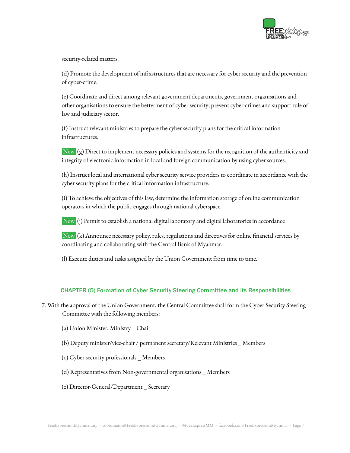

security-related matters.

(d) Promote the development of infrastructures that are necessary for cyber security and the prevention of cyber-crime.

(e) Coordinate and direct among relevant government departments, government organisations and other organisations to ensure the betterment of cyber security; prevent cyber-crimes and support rule of law and judiciary sector.

(f) Instruct relevant ministries to prepare the cyber security plans for the critical information infrastructures.

New (g) Direct to implement necessary policies and systems for the recognition of the authenticity and integrity of electronic information in local and foreign communication by using cyber sources.

(h) Instruct local and international cyber security service providers to coordinate in accordance with the cyber security plans for the critical information infrastructure.

(i) To achieve the objectives of this law, determine the information storage of online communication operators in which the public engages through national cyberspace.

New (j) Permit to establish a national digital laboratory and digital laboratories in accordance

New (k) Announce necessary policy, rules, regulations and directives for online financial services by coordinating and collaborating with the Central Bank of Myanmar.

(l) Execute duties and tasks assigned by the Union Government from time to time.

# CHAPTER (5) Formation of Cyber Security Steering Committee and its Responsibilities

7. With the approval of the Union Government, the Central Committee shall form the Cyber Security Steering Committee with the following members:

- (a) Union Minister, Ministry \_ Chair
- (b) Deputy minister/vice-chair / permanent secretary/Relevant Ministries \_ Members
- (c) Cyber security professionals \_ Members
- (d) Representatives from Non-governmental organisations \_ Members
- (e) Director-General/Department \_ Secretary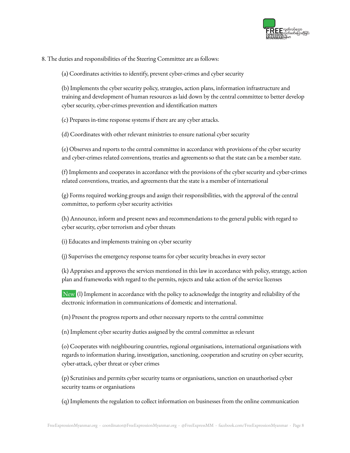

8. The duties and responsibilities of the Steering Committee are as follows:

(a) Coordinates activities to identify, prevent cyber-crimes and cyber security

(b) Implements the cyber security policy, strategies, action plans, information infrastructure and training and development of human resources as laid down by the central committee to better develop cyber security, cyber-crimes prevention and identification matters

(c) Prepares in-time response systems if there are any cyber attacks.

(d) Coordinates with other relevant ministries to ensure national cyber security

(e) Observes and reports to the central committee in accordance with provisions of the cyber security and cyber-crimes related conventions, treaties and agreements so that the state can be a member state.

(f) Implements and cooperates in accordance with the provisions of the cyber security and cyber-crimes related conventions, treaties, and agreements that the state is a member of international

(g) Forms required working groups and assign their responsibilities, with the approval of the central committee, to perform cyber security activities

(h) Announce, inform and present news and recommendations to the general public with regard to cyber security, cyber terrorism and cyber threats

(i) Educates and implements training on cyber security

(j) Supervises the emergency response teams for cyber security breaches in every sector

(k) Appraises and approves the services mentioned in this law in accordance with policy, strategy, action plan and frameworks with regard to the permits, rejects and take action of the service licenses

New (l) Implement in accordance with the policy to acknowledge the integrity and reliability of the electronic information in communications of domestic and international.

(m) Present the progress reports and other necessary reports to the central committee

(n) Implement cyber security duties assigned by the central committee as relevant

(o) Cooperates with neighbouring countries, regional organisations, international organisations with regards to information sharing, investigation, sanctioning, cooperation and scrutiny on cyber security, cyber-attack, cyber threat or cyber crimes

(p) Scrutinises and permits cyber security teams or organisations, sanction on unauthorised cyber security teams or organisations

(q) Implements the regulation to collect information on businesses from the online communication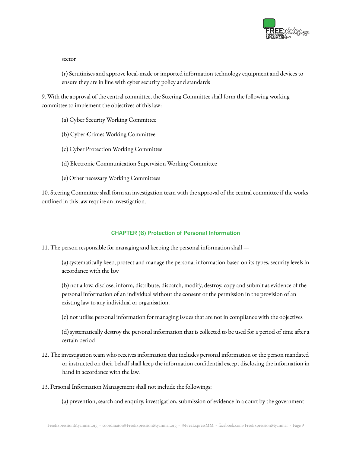

sector

(r) Scrutinises and approve local-made or imported information technology equipment and devices to ensure they are in line with cyber security policy and standards

9. With the approval of the central committee, the Steering Committee shall form the following working committee to implement the objectives of this law:

- (a) Cyber Security Working Committee
- (b) Cyber-Crimes Working Committee
- (c) Cyber Protection Working Committee
- (d) Electronic Communication Supervision Working Committee
- (e) Other necessary Working Committees

10. Steering Committee shall form an investigation team with the approval of the central committee if the works outlined in this law require an investigation.

# CHAPTER (6) Protection of Personal Information

11. The person responsible for managing and keeping the personal information shall —

(a) systematically keep, protect and manage the personal information based on its types, security levels in accordance with the law

(b) not allow, disclose, inform, distribute, dispatch, modify, destroy, copy and submit as evidence of the personal information of an individual without the consent or the permission in the provision of an existing law to any individual or organisation.

(c) not utilise personal information for managing issues that are not in compliance with the objectives

(d) systematically destroy the personal information that is collected to be used for a period of time after a certain period

- 12. The investigation team who receives information that includes personal information or the person mandated or instructed on their behalf shall keep the information confidential except disclosing the information in hand in accordance with the law.
- 13. Personal Information Management shall not include the followings:

(a) prevention, search and enquiry, investigation, submission of evidence in a court by the government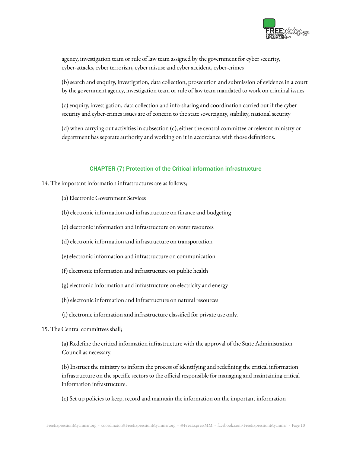

agency, investigation team or rule of law team assigned by the government for cyber security, cyber-attacks, cyber terrorism, cyber misuse and cyber accident, cyber-crimes

(b) search and enquiry, investigation, data collection, prosecution and submission of evidence in a court by the government agency, investigation team or rule of law team mandated to work on criminal issues

(c) enquiry, investigation, data collection and info-sharing and coordination carried out if the cyber security and cyber-crimes issues are of concern to the state sovereignty, stability, national security

(d) when carrying out activities in subsection (c), either the central committee or relevant ministry or department has separate authority and working on it in accordance with those definitions.

## CHAPTER (7) Protection of the Critical information infrastructure

- 14. The important information infrastructures are as follows;
	- (a) Electronic Government Services
	- (b) electronic information and infrastructure on finance and budgeting
	- (c) electronic information and infrastructure on water resources
	- (d) electronic information and infrastructure on transportation
	- (e) electronic information and infrastructure on communication
	- (f) electronic information and infrastructure on public health
	- (g) electronic information and infrastructure on electricity and energy
	- (h) electronic information and infrastructure on natural resources
	- (i) electronic information and infrastructure classified for private use only.
- 15. The Central committees shall;

(a) Redefine the critical information infrastructure with the approval of the State Administration Council as necessary.

(b) Instruct the ministry to inform the process of identifying and redefining the critical information infrastructure on the specific sectors to the official responsible for managing and maintaining critical information infrastructure.

(c) Set up policies to keep, record and maintain the information on the important information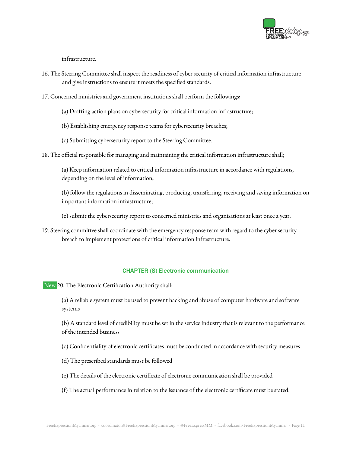

infrastructure.

- 16. The Steering Committee shall inspect the readiness of cyber security of critical information infrastructure and give instructions to ensure it meets the specified standards.
- 17. Concerned ministries and government institutions shall perform the followings;
	- (a) Drafting action plans on cybersecurity for critical information infrastructure;
	- (b) Establishing emergency response teams for cybersecurity breaches;
	- (c) Submitting cybersecurity report to the Steering Committee.
- 18. The official responsible for managing and maintaining the critical information infrastructure shall;

(a) Keep information related to critical information infrastructure in accordance with regulations, depending on the level of information;

(b) follow the regulations in disseminating, producing, transferring, receiving and saving information on important information infrastructure;

(c) submit the cybersecurity report to concerned ministries and organisations at least once a year.

19. Steering committee shall coordinate with the emergency response team with regard to the cyber security breach to implement protections of critical information infrastructure.

#### CHAPTER (8) Electronic communication

New 20. The Electronic Certification Authority shall:

(a) A reliable system must be used to prevent hacking and abuse of computer hardware and software systems

(b) A standard level of credibility must be set in the service industry that is relevant to the performance of the intended business

(c) Confidentiality of electronic certificates must be conducted in accordance with security measures

- (d) The prescribed standards must be followed
- (e) The details of the electronic certificate of electronic communication shall be provided
- (f) The actual performance in relation to the issuance of the electronic certificate must be stated.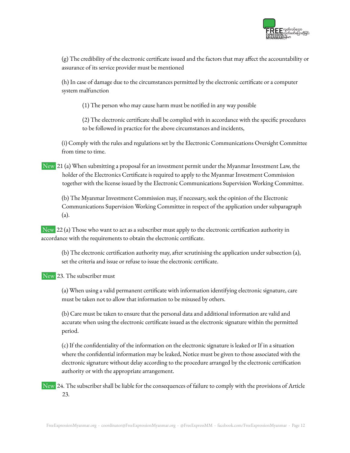

(g) The credibility of the electronic certificate issued and the factors that may affect the accountability or assurance of its service provider must be mentioned

(h) In case of damage due to the circumstances permitted by the electronic certificate or a computer system malfunction

(1) The person who may cause harm must be notified in any way possible

(2) The electronic certificate shall be complied with in accordance with the specific procedures to be followed in practice for the above circumstances and incidents,

(i) Comply with the rules and regulations set by the Electronic Communications Oversight Committee from time to time.

New 21 (a) When submitting a proposal for an investment permit under the Myanmar Investment Law, the holder of the Electronics Certificate is required to apply to the Myanmar Investment Commission together with the license issued by the Electronic Communications Supervision Working Committee.

(b) The Myanmar Investment Commission may, if necessary, seek the opinion of the Electronic Communications Supervision Working Committee in respect of the application under subparagraph (a).

New 22 (a) Those who want to act as a subscriber must apply to the electronic certification authority in accordance with the requirements to obtain the electronic certificate.

(b) The electronic certification authority may, after scrutinising the application under subsection (a), set the criteria and issue or refuse to issue the electronic certificate.

New 23. The subscriber must

(a) When using a valid permanent certificate with information identifying electronic signature, care must be taken not to allow that information to be misused by others.

(b) Care must be taken to ensure that the personal data and additional information are valid and accurate when using the electronic certificate issued as the electronic signature within the permitted period.

(c) If the confidentiality of the information on the electronic signature is leaked or If in a situation where the confidential information may be leaked, Notice must be given to those associated with the electronic signature without delay according to the procedure arranged by the electronic certification authority or with the appropriate arrangement.

New 24. The subscriber shall be liable for the consequences of failure to comply with the provisions of Article 23.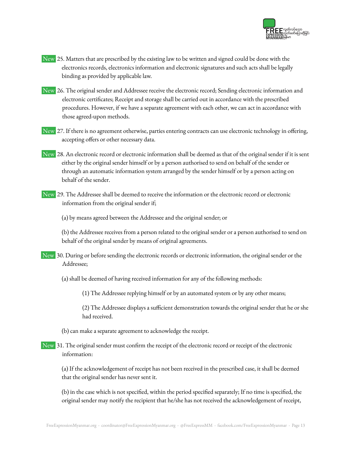

- New 25. Matters that are prescribed by the existing law to be written and signed could be done with the electronics records, electronics information and electronic signatures and such acts shall be legally binding as provided by applicable law.
- New 26. The original sender and Addressee receive the electronic record; Sending electronic information and electronic certificates; Receipt and storage shall be carried out in accordance with the prescribed procedures. However, if we have a separate agreement with each other, we can act in accordance with those agreed-upon methods.
- New 27. If there is no agreement otherwise, parties entering contracts can use electronic technology in offering, accepting offers or other necessary data.
- New 28. An electronic record or electronic information shall be deemed as that of the original sender if it is sent either by the original sender himself or by a person authorised to send on behalf of the sender or through an automatic information system arranged by the sender himself or by a person acting on behalf of the sender.
- New 29. The Addressee shall be deemed to receive the information or the electronic record or electronic information from the original sender if;
	- (a) by means agreed between the Addressee and the original sender; or

(b) the Addressee receives from a person related to the original sender or a person authorised to send on behalf of the original sender by means of original agreements.

- New 30. During or before sending the electronic records or electronic information, the original sender or the Addressee;
	- (a) shall be deemed of having received information for any of the following methods:
		- (1) The Addressee replying himself or by an automated system or by any other means;

(2) The Addressee displays a sufficient demonstration towards the original sender that he or she had received.

- (b) can make a separate agreement to acknowledge the receipt.
- New 31. The original sender must confirm the receipt of the electronic record or receipt of the electronic information:

(a) If the acknowledgement of receipt has not been received in the prescribed case, it shall be deemed that the original sender has never sent it.

(b) in the case which is not specified, within the period specified separately; If no time is specified, the original sender may notify the recipient that he/she has not received the acknowledgement of receipt,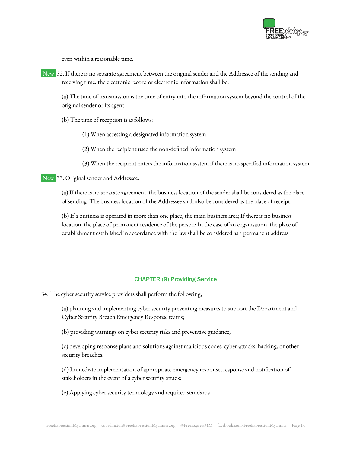

even within a reasonable time.

New 32. If there is no separate agreement between the original sender and the Addressee of the sending and receiving time, the electronic record or electronic information shall be:

(a) The time of transmission is the time of entry into the information system beyond the control of the original sender or its agent

(b) The time of reception is as follows:

- (1) When accessing a designated information system
- (2) When the recipient used the non-defined information system
- (3) When the recipient enters the information system if there is no specified information system

New 33. Original sender and Addressee:

(a) If there is no separate agreement, the business location of the sender shall be considered as the place of sending. The business location of the Addressee shall also be considered as the place of receipt.

(b) If a business is operated in more than one place, the main business area; If there is no business location, the place of permanent residence of the person; In the case of an organisation, the place of establishment established in accordance with the law shall be considered as a permanent address

#### CHAPTER (9) Providing Service

34. The cyber security service providers shall perform the following;

(a) planning and implementing cyber security preventing measures to support the Department and Cyber Security Breach Emergency Response teams;

(b) providing warnings on cyber security risks and preventive guidance;

(c) developing response plans and solutions against malicious codes, cyber-attacks, hacking, or other security breaches.

(d) Immediate implementation of appropriate emergency response, response and notification of stakeholders in the event of a cyber security attack;

(e) Applying cyber security technology and required standards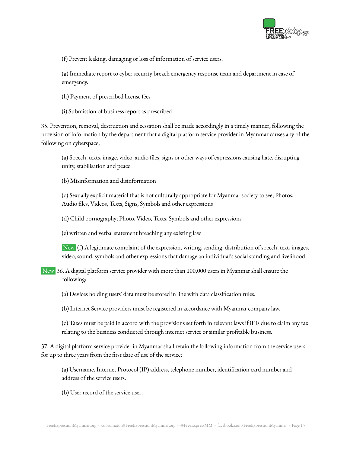

(f) Prevent leaking, damaging or loss of information of service users.

(g) Immediate report to cyber security breach emergency response team and department in case of emergency.

- (h) Payment of prescribed license fees
- (i) Submission of business report as prescribed

35. Prevention, removal, destruction and cessation shall be made accordingly in a timely manner, following the provision of information by the department that a digital platform service provider in Myanmar causes any of the following on cyberspace;

(a) Speech, texts, image, video, audio files, signs or other ways of expressions causing hate, disrupting unity, stabilisation and peace.

(b) Misinformation and disinformation

(c) Sexually explicit material that is not culturally appropriate for Myanmar society to see; Photos, Audio files, Videos, Texts, Signs, Symbols and other expressions

(d) Child pornography; Photo, Video, Texts, Symbols and other expressions

(e) written and verbal statement breaching any existing law

New (f) A legitimate complaint of the expression, writing, sending, distribution of speech, text, images, video, sound, symbols and other expressions that damage an individual's social standing and livelihood

- New 36. A digital platform service provider with more than 100,000 users in Myanmar shall ensure the following;
	- (a) Devices holding users' data must be stored in line with data classification rules.
	- (b) Internet Service providers must be registered in accordance with Myanmar company law.

(c) Taxes must be paid in accord with the provisions set forth in relevant laws if iF is due to claim any tax relating to the business conducted through internet service or similar profitable business.

37. A digital platform service provider in Myanmar shall retain the following information from the service users for up to three years from the first date of use of the service;

(a) Username, Internet Protocol (IP) address, telephone number, identification card number and address of the service users.

(b) User record of the service user.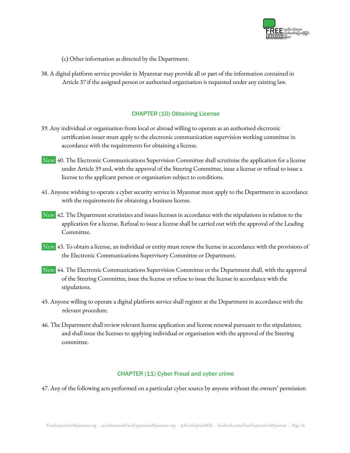

- (c) Other information as directed by the Department.
- 38. A digital platform service provider in Myanmar may provide all or part of the information contained in Article 37 if the assigned person or authorised organisation is requested under any existing law.

# CHAPTER (10) Obtaining License

- 39. Any individual or organisation from local or abroad willing to operate as an authorised electronic certification issuer must apply to the electronic communication supervision working committee in accordance with the requirements for obtaining a license.
- New 40. The Electronic Communications Supervision Committee shall scrutinise the application for a license under Article 39 and, with the approval of the Steering Committee, issue a license or refusal to issue a license to the applicant person or organisation subject to conditions.
- 41. Anyone wishing to operate a cyber security service in Myanmar must apply to the Department in accordance with the requirements for obtaining a business license.
- New 42. The Department scrutinizes and issues licenses in accordance with the stipulations in relation to the application for a license. Refusal to issue a license shall be carried out with the approval of the Leading Committee.
- New 43. To obtain a license, an individual or entity must renew the license in accordance with the provisions of the Electronic Communications Supervisory Committee or Department.
- New 44. The Electronic Communications Supervision Committee or the Department shall, with the approval of the Steering Committee, issue the license or refuse to issue the license in accordance with the stipulations.
- 45. Anyone willing to operate a digital platform service shall register at the Department in accordance with the relevant procedure.
- 46. The Department shall review relevant license application and license renewal pursuant to the stipulations; and shall issue the licenses to applying individual or organisation with the approval of the Steering committee.

## CHAPTER (11) Cyber Fraud and cyber crime

47. Any of the following acts performed on a particular cyber source by anyone without the owners' permission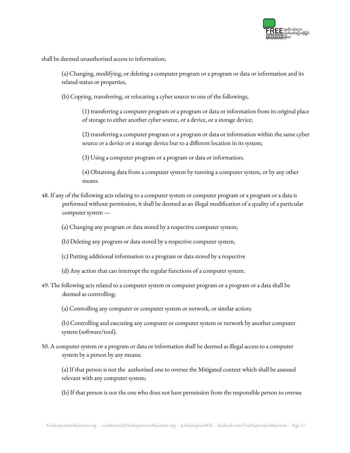

shall be deemed unauthorised access to information;

(a) Changing, modifying, or deleting a computer program or a program or data or information and its related status or properties,

(b) Copying, transferring, or relocating a cyber source to one of the followings,

(1) transferring a computer program or a program or data or information from its original place of storage to either another cyber source, or a device, or a storage device;

(2) transferring a computer program or a program or data or information within the same cyber source or a device or a storage device but to a different location in its system;

(3) Using a computer program or a program or data or information;

(4) Obtaining data from a computer system by running a computer system, or by any other means.

- 48. If any of the following acts relating to a computer system or computer program or a program or a data is performed without permission, it shall be deemed as an illegal modification of a quality of a particular computer system —
	- (a) Changing any program or data stored by a respective computer system;
	- (b) Deleting any program or data stored by a respective computer system,
	- (c) Putting additional information to a program or data stored by a respective
	- (d) Any action that can interrupt the regular functions of a computer system.
- 49. The following acts related to a computer system or computer program or a program or a data shall be deemed as controlling;
	- (a) Controlling any computer or computer system or network, or similar action;

(b) Controlling and executing any computer or computer system or network by another computer system (software/tool).

50. A computer system or a program or data or information shall be deemed as illegal access to a computer system by a person by any means;

(a) If that person is not the authorised one to oversee the Mitigated context which shall be assessed relevant with any computer system;

(b) If that person is not the one who does not have permission from the responsible person to oversee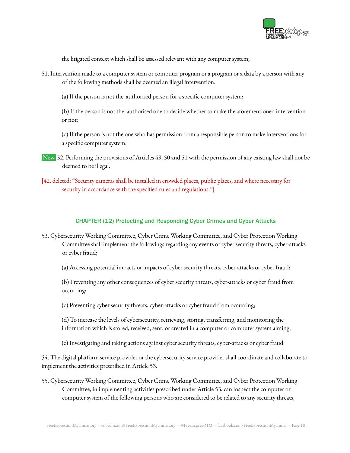

the litigated context which shall be assessed relevant with any computer system;

51. Intervention made to a computer system or computer program or a program or a data by a person with any of the following methods shall be deemed an illegal intervention.

(a) If the person is not the authorised person for a specific computer system;

(b) If the person is not the authorised one to decide whether to make the aforementioned intervention or not;

(c) If the person is not the one who has permission from a responsible person to make interventions for a specific computer system.

- New 52. Performing the provisions of Articles 49, 50 and 51 with the permission of any existing law shall not be deemed to be illegal.
- [42. deleted: "Security cameras shall be installed in crowded places, public places, and where necessary for security in accordance with the specified rules and regulations."

# CHAPTER (12) Protecting and Responding Cyber Crimes and Cyber Attacks

53. Cybersecurity Working Committee, Cyber Crime Working Committee, and Cyber Protection Working Committee shall implement the followings regarding any events of cyber security threats, cyber-attacks or cyber fraud;

(a) Accessing potential impacts or impacts of cyber security threats, cyber-attacks or cyber fraud;

(b) Preventing any other consequences of cyber security threats, cyber-attacks or cyber fraud from occurring;

(c) Preventing cyber security threats, cyber-attacks or cyber fraud from occurring;

(d) To increase the levels of cybersecurity, retrieving, storing, transferring, and monitoring the information which is stored, received, sent, or created in a computer or computer system aiming;

(e) Investigating and taking actions against cyber security threats, cyber-attacks or cyber fraud.

54. The digital platform service provider or the cybersecurity service provider shall coordinate and collaborate to implement the activities prescribed in Article 53.

55. Cybersecurity Working Committee, Cyber Crime Working Committee, and Cyber Protection Working Committee, in implementing activities prescribed under Article 53, can inspect the computer or computer system of the following persons who are considered to be related to any security threats,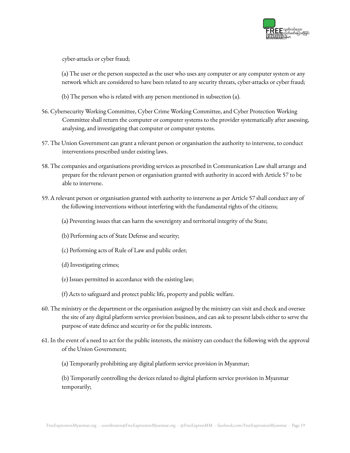

cyber-attacks or cyber fraud;

(a) The user or the person suspected as the user who uses any computer or any computer system or any network which are considered to have been related to any security threats, cyber-attacks or cyber fraud;

(b) The person who is related with any person mentioned in subsection (a).

- 56. Cybersecurity Working Committee, Cyber Crime Working Committee, and Cyber Protection Working Committee shall return the computer or computer systems to the provider systematically after assessing, analysing, and investigating that computer or computer systems.
- 57. The Union Government can grant a relevant person or organisation the authority to intervene, to conduct interventions prescribed under existing laws.
- 58. The companies and organisations providing services as prescribed in Communication Law shall arrange and prepare for the relevant person or organisation granted with authority in accord with Article 57 to be able to intervene.
- 59. A relevant person or organisation granted with authority to intervene as per Article 57 shall conduct any of the following interventions without interfering with the fundamental rights of the citizens;
	- (a) Preventing issues that can harm the sovereignty and territorial integrity of the State;
	- (b) Performing acts of State Defense and security;
	- (c) Performing acts of Rule of Law and public order;
	- (d) Investigating crimes;
	- (e) Issues permitted in accordance with the existing law;
	- (f) Acts to safeguard and protect public life, property and public welfare.
- 60. The ministry or the department or the organisation assigned by the ministry can visit and check and oversee the site of any digital platform service provision business, and can ask to present labels either to serve the purpose of state defence and security or for the public interests.
- 61. In the event of a need to act for the public interests, the ministry can conduct the following with the approval of the Union Government;
	- (a) Temporarily prohibiting any digital platform service provision in Myanmar;

(b) Temporarily controlling the devices related to digital platform service provision in Myanmar temporarily;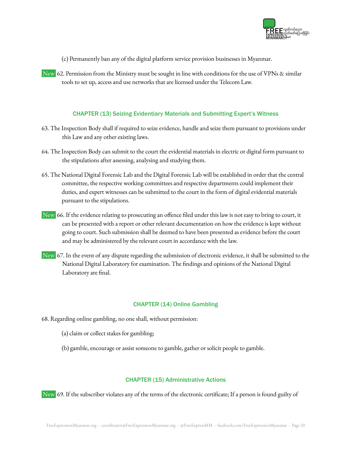

(c) Permanently ban any of the digital platform service provision businesses in Myanmar.

New 62. Permission from the Ministry must be sought in line with conditions for the use of VPNs & similar tools to set up, access and use networks that are licensed under the Telecom Law.

## CHAPTER (13) Seizing Evidentiary Materials and Submitting Expert's Witness

- 63. The Inspection Body shall if required to seize evidence, handle and seize them pursuant to provisions under this Law and any other existing laws.
- 64. The Inspection Body can submit to the court the evidential materials in electric or digital form pursuant to the stipulations after assessing, analysing and studying them.
- 65. The National Digital Forensic Lab and the Digital Forensic Lab will be established in order that the central committee, the respective working committees and respective departments could implement their duties, and expert witnesses can be submitted to the court in the form of digital evidential materials pursuant to the stipulations.
- New 66. If the evidence relating to prosecuting an offence filed under this law is not easy to bring to court, it can be presented with a report or other relevant documentation on how the evidence is kept without going to court. Such submission shall be deemed to have been presented as evidence before the court and may be administered by the relevant court in accordance with the law.
- New 67. In the event of any dispute regarding the submission of electronic evidence, it shall be submitted to the National Digital Laboratory for examination. The findings and opinions of the National Digital Laboratory are final.

# CHAPTER (14) Online Gambling

- 68. Regarding online gambling, no one shall, without permission:
	- (a) claim or collect stakes for gambling;
	- (b) gamble, encourage or assist someone to gamble, gather or solicit people to gamble.

## CHAPTER (15) Administrative Actions

New 69. If the subscriber violates any of the terms of the electronic certificate; If a person is found guilty of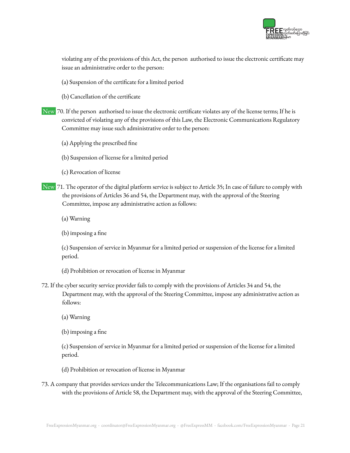

violating any of the provisions of this Act, the person authorised to issue the electronic certificate may issue an administrative order to the person:

- (a) Suspension of the certificate for a limited period
- (b) Cancellation of the certificate
- New 70. If the person authorised to issue the electronic certificate violates any of the license terms; If he is convicted of violating any of the provisions of this Law, the Electronic Communications Regulatory Committee may issue such administrative order to the person:
	- (a) Applying the prescribed fine
	- (b) Suspension of license for a limited period
	- (c) Revocation of license
- New 71. The operator of the digital platform service is subject to Article 35; In case of failure to comply with the provisions of Articles 36 and 54, the Department may, with the approval of the Steering Committee, impose any administrative action as follows:
	- (a) Warning
	- (b) imposing a fine

(c) Suspension of service in Myanmar for a limited period or suspension of the license for a limited period.

- (d) Prohibition or revocation of license in Myanmar
- 72. If the cyber security service provider fails to comply with the provisions of Articles 34 and 54, the Department may, with the approval of the Steering Committee, impose any administrative action as follows:
	- (a) Warning
	- (b) imposing a fine

(c) Suspension of service in Myanmar for a limited period or suspension of the license for a limited period.

- (d) Prohibition or revocation of license in Myanmar
- 73. A company that provides services under the Telecommunications Law; If the organisations fail to comply with the provisions of Article 58, the Department may, with the approval of the Steering Committee,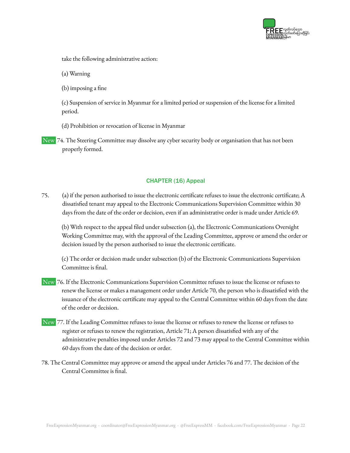

take the following administrative action:

(a) Warning

(b) imposing a fine

(c) Suspension of service in Myanmar for a limited period or suspension of the license for a limited period.

(d) Prohibition or revocation of license in Myanmar

New 74. The Steering Committee may dissolve any cyber security body or organisation that has not been properly formed.

# CHAPTER (16) Appeal

75. (a) if the person authorised to issue the electronic certificate refuses to issue the electronic certificate; A dissatisfied tenant may appeal to the Electronic Communications Supervision Committee within 30 days from the date of the order or decision, even if an administrative order is made under Article 69.

(b) With respect to the appeal filed under subsection (a), the Electronic Communications Oversight Working Committee may, with the approval of the Leading Committee, approve or amend the order or decision issued by the person authorised to issue the electronic certificate.

(c) The order or decision made under subsection (b) of the Electronic Communications Supervision Committee is final.

- New 76. If the Electronic Communications Supervision Committee refuses to issue the license or refuses to renew the license or makes a management order under Article 70, the person who is dissatisfied with the issuance of the electronic certificate may appeal to the Central Committee within 60 days from the date of the order or decision.
- New 77. If the Leading Committee refuses to issue the license or refuses to renew the license or refuses to register or refuses to renew the registration, Article 71; A person dissatisfied with any of the administrative penalties imposed under Articles 72 and 73 may appeal to the Central Committee within 60 days from the date of the decision or order.
- 78. The Central Committee may approve or amend the appeal under Articles 76 and 77. The decision of the Central Committee is final.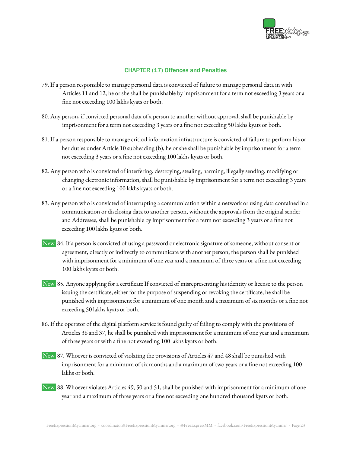

## CHAPTER (17) Offences and Penalties

- 79. If a person responsible to manage personal data is convicted of failure to manage personal data in with Articles 11 and 12, he or she shall be punishable by imprisonment for a term not exceeding 3 years or a fine not exceeding 100 lakhs kyats or both.
- 80. Any person, if convicted personal data of a person to another without approval, shall be punishable by imprisonment for a term not exceeding 3 years or a fine not exceeding 50 lakhs kyats or both.
- 81. If a person responsible to manage critical information infrastructure is convicted of failure to perform his or her duties under Article 10 subheading (b), he or she shall be punishable by imprisonment for a term not exceeding 3 years or a fine not exceeding 100 lakhs kyats or both.
- 82. Any person who is convicted of interfering, destroying, stealing, harming, illegally sending, modifying or changing electronic information, shall be punishable by imprisonment for a term not exceeding 3 years or a fine not exceeding 100 lakhs kyats or both.
- 83. Any person who is convicted of interrupting a communication within a network or using data contained in a communication or disclosing data to another person, without the approvals from the original sender and Addressee, shall be punishable by imprisonment for a term not exceeding 3 years or a fine not exceeding 100 lakhs kyats or both.
- New 84. If a person is convicted of using a password or electronic signature of someone, without consent or agreement, directly or indirectly to communicate with another person, the person shall be punished with imprisonment for a minimum of one year and a maximum of three years or a fine not exceeding 100 lakhs kyats or both.
- New 85. Anyone applying for a certificate If convicted of misrepresenting his identity or license to the person issuing the certificate, either for the purpose of suspending or revoking the certificate, he shall be punished with imprisonment for a minimum of one month and a maximum of six months or a fine not exceeding 50 lakhs kyats or both.
- 86. If the operator of the digital platform service is found guilty of failing to comply with the provisions of Articles 36 and 37, he shall be punished with imprisonment for a minimum of one year and a maximum of three years or with a fine not exceeding 100 lakhs kyats or both.
- New 87. Whoever is convicted of violating the provisions of Articles 47 and 48 shall be punished with imprisonment for a minimum of six months and a maximum of two years or a fine not exceeding 100 lakhs or both.
- New 88. Whoever violates Articles 49, 50 and 51, shall be punished with imprisonment for a minimum of one year and a maximum of three years or a fine not exceeding one hundred thousand kyats or both.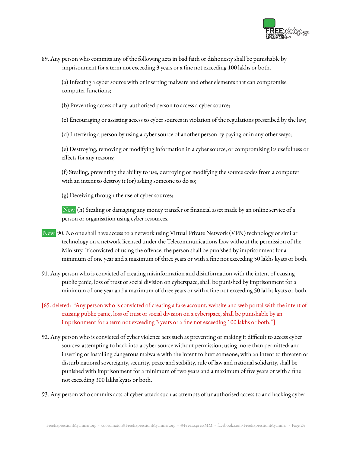

89. Any person who commits any of the following acts in bad faith or dishonesty shall be punishable by imprisonment for a term not exceeding 3 years or a fine not exceeding 100 lakhs or both.

(a) Infecting a cyber source with or inserting malware and other elements that can compromise computer functions;

(b) Preventing access of any authorised person to access a cyber source;

(c) Encouraging or assisting access to cyber sources in violation of the regulations prescribed by the law;

(d) Interfering a person by using a cyber source of another person by paying or in any other ways;

(e) Destroying, removing or modifying information in a cyber source; or compromising its usefulness or effects for any reasons;

(f) Stealing, preventing the ability to use, destroying or modifying the source codes from a computer with an intent to destroy it (or) asking someone to do so;

(g) Deceiving through the use of cyber sources;

New (h) Stealing or damaging any money transfer or financial asset made by an online service of a person or organisation using cyber resources.

- New 90. No one shall have access to a network using Virtual Private Network (VPN) technology or similar technology on a network licensed under the Telecommunications Law without the permission of the Ministry. If convicted of using the offence, the person shall be punished by imprisonment for a minimum of one year and a maximum of three years or with a fine not exceeding 50 lakhs kyats or both.
- 91. Any person who is convicted of creating misinformation and disinformation with the intent of causing public panic, loss of trust or social division on cyberspace, shall be punished by imprisonment for a minimum of one year and a maximum of three years or with a fine not exceeding 50 lakhs kyats or both.
- [65. deleted: "Any person who is convicted of creating a fake account, website and web portal with the intent of causing public panic, loss of trust or social division on a cyberspace, shall be punishable by an imprisonment for a term not exceeding 3 years or a fine not exceeding 100 lakhs or both."
- 92. Any person who is convicted of cyber violence acts such as preventing or making it difficult to access cyber sources; attempting to hack into a cyber source without permission; using more than permitted; and inserting or installing dangerous malware with the intent to hurt someone; with an intent to threaten or disturb national sovereignty, security, peace and stability, rule of law and national solidarity, shall be punished with imprisonment for a minimum of two years and a maximum of five years or with a fine not exceeding 300 lakhs kyats or both.

93. Any person who commits acts of cyber-attack such as attempts of unauthorised access to and hacking cyber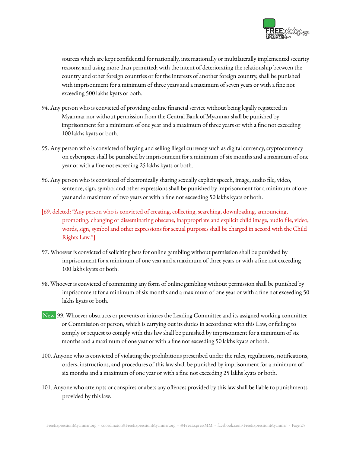

sources which are kept confidential for nationally, internationally or multilaterally implemented security reasons; and using more than permitted; with the intent of deteriorating the relationship between the country and other foreign countries or for the interests of another foreign country, shall be punished with imprisonment for a minimum of three years and a maximum of seven years or with a fine not exceeding 500 lakhs kyats or both.

- 94. Any person who is convicted of providing online financial service without being legally registered in Myanmar nor without permission from the Central Bank of Myanmar shall be punished by imprisonment for a minimum of one year and a maximum of three years or with a fine not exceeding 100 lakhs kyats or both.
- 95. Any person who is convicted of buying and selling illegal currency such as digital currency, cryptocurrency on cyberspace shall be punished by imprisonment for a minimum of six months and a maximum of one year or with a fine not exceeding 25 lakhs kyats or both.
- 96. Any person who is convicted of electronically sharing sexually explicit speech, image, audio file, video, sentence, sign, symbol and other expressions shall be punished by imprisonment for a minimum of one year and a maximum of two years or with a fine not exceeding 50 lakhs kyats or both.
- [69. deleted: "Any person who is convicted of creating, collecting, searching, downloading, announcing, promoting, changing or disseminating obscene, inappropriate and explicit child image, audio file, video, words, sign, symbol and other expressions for sexual purposes shall be charged in accord with the Child Rights Law."]
- 97. Whoever is convicted of soliciting bets for online gambling without permission shall be punished by imprisonment for a minimum of one year and a maximum of three years or with a fine not exceeding 100 lakhs kyats or both.
- 98. Whoever is convicted of committing any form of online gambling without permission shall be punished by imprisonment for a minimum of six months and a maximum of one year or with a fine not exceeding 50 lakhs kyats or both.
- New 99. Whoever obstructs or prevents or injures the Leading Committee and its assigned working committee or Commission or person, which is carrying out its duties in accordance with this Law, or failing to comply or request to comply with this law shall be punished by imprisonment for a minimum of six months and a maximum of one year or with a fine not exceeding 50 lakhs kyats or both.
- 100. Anyone who is convicted of violating the prohibitions prescribed under the rules, regulations, notifications, orders, instructions, and procedures of this law shall be punished by imprisonment for a minimum of six months and a maximum of one year or with a fine not exceeding 25 lakhs kyats or both.
- 101. Anyone who attempts or conspires or abets any offences provided by this law shall be liable to punishments provided by this law.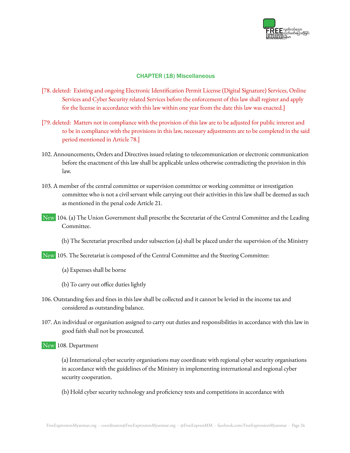

## CHAPTER (18) Miscellaneous

- [78. deleted: Existing and ongoing Electronic Identification Permit License (Digital Signature) Services, Online Services and Cyber Security related Services before the enforcement of this law shall register and apply for the license in accordance with this law within one year from the date this law was enacted.]
- [79. deleted: Matters not in compliance with the provision of this law are to be adjusted for public interest and to be in compliance with the provisions in this law, necessary adjustments are to be completed in the said period mentioned in Article 78.]
- 102. Announcements, Orders and Directives issued relating to telecommunication or electronic communication before the enactment of this law shall be applicable unless otherwise contradicting the provision in this law.
- 103. A member of the central committee or supervision committee or working committee or investigation committee who is not a civil servant while carrying out their activities in this law shall be deemed as such as mentioned in the penal code Article 21.
- New 104. (a) The Union Government shall prescribe the Secretariat of the Central Committee and the Leading Committee.
	- (b) The Secretariat prescribed under subsection (a) shall be placed under the supervision of the Ministry
- New 105. The Secretariat is composed of the Central Committee and the Steering Committee:
	- (a) Expenses shall be borne
	- (b) To carry out office duties lightly
- 106. Outstanding fees and fines in this law shall be collected and it cannot be levied in the income tax and considered as outstanding balance.
- 107. An individual or organisation assigned to carry out duties and responsibilities in accordance with this law in good faith shall not be prosecuted.
- New 108. Department
	- (a) International cyber security organisations may coordinate with regional cyber security organisations in accordance with the guidelines of the Ministry in implementing international and regional cyber security cooperation.
	- (b) Hold cyber security technology and proficiency tests and competitions in accordance with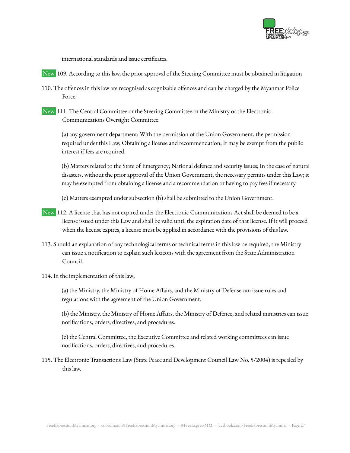

international standards and issue certificates.

- New 109. According to this law, the prior approval of the Steering Committee must be obtained in litigation
- 110. The offences in this law are recognised as cognizable offences and can be charged by the Myanmar Police Force.
- New 111. The Central Committee or the Steering Committee or the Ministry or the Electronic Communications Oversight Committee:

(a) any government department; With the permission of the Union Government, the permission required under this Law; Obtaining a license and recommendation; It may be exempt from the public interest if fees are required.

(b) Matters related to the State of Emergency; National defence and security issues; In the case of natural disasters, without the prior approval of the Union Government, the necessary permits under this Law; it may be exempted from obtaining a license and a recommendation or having to pay fees if necessary.

(c) Matters exempted under subsection (b) shall be submitted to the Union Government.

- New 112. A license that has not expired under the Electronic Communications Act shall be deemed to be a license issued under this Law and shall be valid until the expiration date of that license. If it will proceed when the license expires, a license must be applied in accordance with the provisions of this law.
- 113. Should an explanation of any technological terms or technical terms in this law be required, the Ministry can issue a notification to explain such lexicons with the agreement from the State Administration Council.
- 114. In the implementation of this law;

(a) the Ministry, the Ministry of Home Affairs, and the Ministry of Defense can issue rules and regulations with the agreement of the Union Government.

(b) the Ministry, the Ministry of Home Affairs, the Ministry of Defence, and related ministries can issue notifications, orders, directives, and procedures.

(c) the Central Committee, the Executive Committee and related working committees can issue notifications, orders, directives, and procedures.

115. The Electronic Transactions Law (State Peace and Development Council Law No. 5/2004) is repealed by this law.